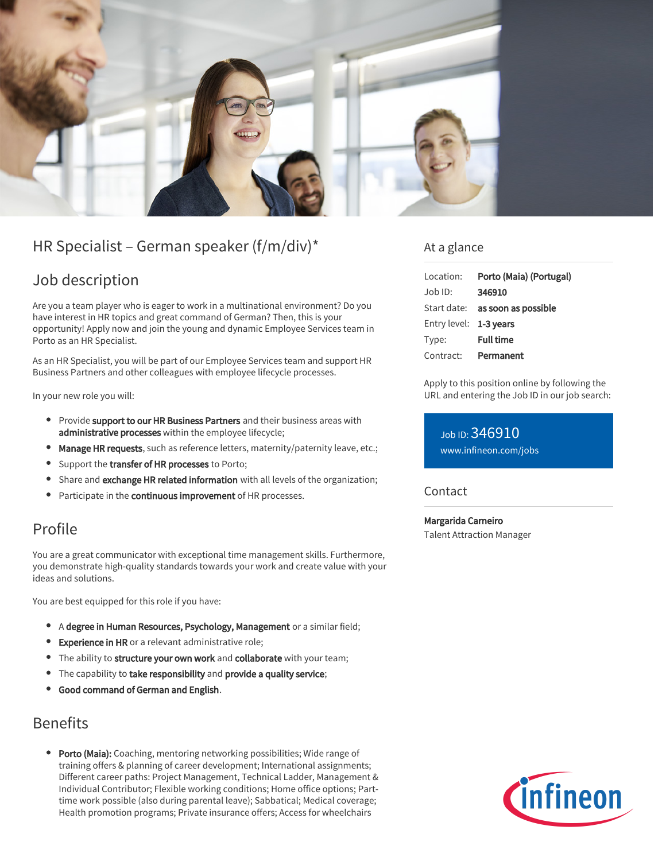

# HR Specialist – German speaker (f/m/div)\*

## Job description

Are you a team player who is eager to work in a multinational environment? Do you have interest in HR topics and great command of German? Then, this is your opportunity! Apply now and join the young and dynamic Employee Services team in Porto as an HR Specialist.

As an HR Specialist, you will be part of our Employee Services team and support HR Business Partners and other colleagues with employee lifecycle processes.

In your new role you will:

- **Provide support to our HR Business Partners** and their business areas with administrative processes within the employee lifecycle;
- Manage HR requests, such as reference letters, maternity/paternity leave, etc.;
- Support the transfer of HR processes to Porto;
- Share and exchange HR related information with all levels of the organization;
- Participate in the continuous improvement of HR processes.

## Profile

You are a great communicator with exceptional time management skills. Furthermore, you demonstrate high-quality standards towards your work and create value with your ideas and solutions.

You are best equipped for this role if you have:

- A degree in Human Resources, Psychology, Management or a similar field;
- **Experience in HR** or a relevant administrative role;
- The ability to structure your own work and collaborate with your team;
- The capability to take responsibility and provide a quality service;
- Good command of German and English.

## Benefits

**Porto (Maia):** Coaching, mentoring networking possibilities; Wide range of training offers & planning of career development; International assignments; Different career paths: Project Management, Technical Ladder, Management & Individual Contributor; Flexible working conditions; Home office options; Parttime work possible (also during parental leave); Sabbatical; Medical coverage; Health promotion programs; Private insurance offers; Access for wheelchairs

### At a glance

| Location:              | Porto (Maia) (Portugal)         |
|------------------------|---------------------------------|
| $Job$ ID:              | 346910                          |
|                        | Start date: as soon as possible |
| Entry level: 1-3 years |                                 |
| Type:                  | <b>Full time</b>                |
| Contract:              | Permanent                       |

Apply to this position online by following the URL and entering the Job ID in our job search:

Job ID: 346910 [www.infineon.com/jobs](https://www.infineon.com/jobs)

### Contact

Margarida Carneiro Talent Attraction Manager